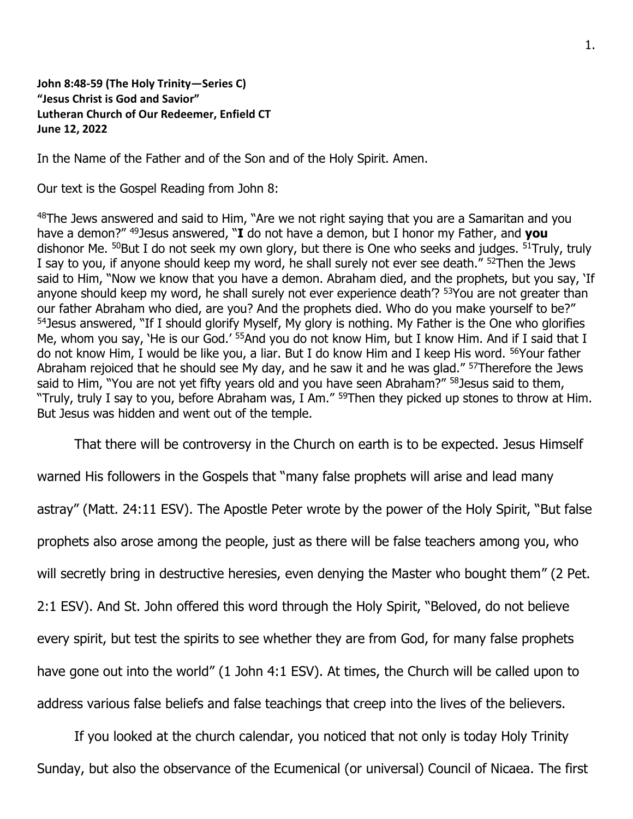## **John 8:48-59 (The Holy Trinity—Series C) "Jesus Christ is God and Savior" Lutheran Church of Our Redeemer, Enfield CT June 12, 2022**

In the Name of the Father and of the Son and of the Holy Spirit. Amen.

Our text is the Gospel Reading from John 8:

<sup>48</sup>The Jews answered and said to Him, "Are we not right saying that you are a Samaritan and you have a demon?" <sup>49</sup>Jesus answered, "**I** do not have a demon, but I honor my Father, and **you** dishonor Me. <sup>50</sup>But I do not seek my own glory, but there is One who seeks and judges. <sup>51</sup>Truly, truly I say to you, if anyone should keep my word, he shall surely not ever see death." <sup>52</sup>Then the Jews said to Him, "Now we know that you have a demon. Abraham died, and the prophets, but you say, 'If anyone should keep my word, he shall surely not ever experience death'? <sup>53</sup>You are not greater than our father Abraham who died, are you? And the prophets died. Who do you make yourself to be?" <sup>54</sup> Jesus answered, "If I should glorify Myself, My glory is nothing. My Father is the One who glorifies Me, whom you say, 'He is our God.' <sup>55</sup>And you do not know Him, but I know Him. And if I said that I do not know Him, I would be like you, a liar. But I do know Him and I keep His word. <sup>56</sup>Your father Abraham rejoiced that he should see My day, and he saw it and he was glad." <sup>57</sup>Therefore the Jews said to Him, "You are not yet fifty years old and you have seen Abraham?" <sup>58</sup> Jesus said to them, "Truly, truly I say to you, before Abraham was, I Am." <sup>59</sup>Then they picked up stones to throw at Him. But Jesus was hidden and went out of the temple.

That there will be controversy in the Church on earth is to be expected. Jesus Himself

warned His followers in the Gospels that "many false prophets will arise and lead many astray" (Matt. 24:11 ESV). The Apostle Peter wrote by the power of the Holy Spirit, "But false prophets also arose among the people, just as there will be false teachers among you, who will secretly bring in destructive heresies, even denying the Master who bought them" (2 Pet. 2:1 ESV). And St. John offered this word through the Holy Spirit, "Beloved, do not believe every spirit, but test the spirits to see whether they are from God, for many false prophets have gone out into the world" (1 John 4:1 ESV). At times, the Church will be called upon to address various false beliefs and false teachings that creep into the lives of the believers.

If you looked at the church calendar, you noticed that not only is today Holy Trinity Sunday, but also the observance of the Ecumenical (or universal) Council of Nicaea. The first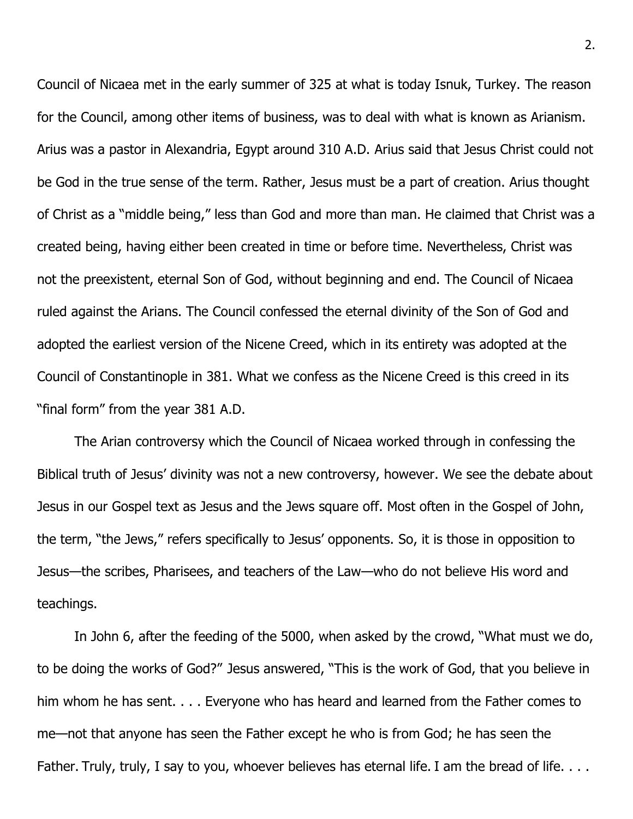Council of Nicaea met in the early summer of 325 at what is today Isnuk, Turkey. The reason for the Council, among other items of business, was to deal with what is known as Arianism. Arius was a pastor in Alexandria, Egypt around 310 A.D. Arius said that Jesus Christ could not be God in the true sense of the term. Rather, Jesus must be a part of creation. Arius thought of Christ as a "middle being," less than God and more than man. He claimed that Christ was a created being, having either been created in time or before time. Nevertheless, Christ was not the preexistent, eternal Son of God, without beginning and end. The Council of Nicaea ruled against the Arians. The Council confessed the eternal divinity of the Son of God and adopted the earliest version of the Nicene Creed, which in its entirety was adopted at the Council of Constantinople in 381. What we confess as the Nicene Creed is this creed in its "final form" from the year 381 A.D.

The Arian controversy which the Council of Nicaea worked through in confessing the Biblical truth of Jesus' divinity was not a new controversy, however. We see the debate about Jesus in our Gospel text as Jesus and the Jews square off. Most often in the Gospel of John, the term, "the Jews," refers specifically to Jesus' opponents. So, it is those in opposition to Jesus—the scribes, Pharisees, and teachers of the Law—who do not believe His word and teachings.

In John 6, after the feeding of the 5000, when asked by the crowd, "What must we do, to be doing the works of God?" Jesus answered, "This is the work of God, that you believe in him whom he has sent. . . . Everyone who has heard and learned from the Father comes to me—not that anyone has seen the Father except he who is from God; he has seen the Father. Truly, truly, I say to you, whoever believes has eternal life. I am the bread of life. . . .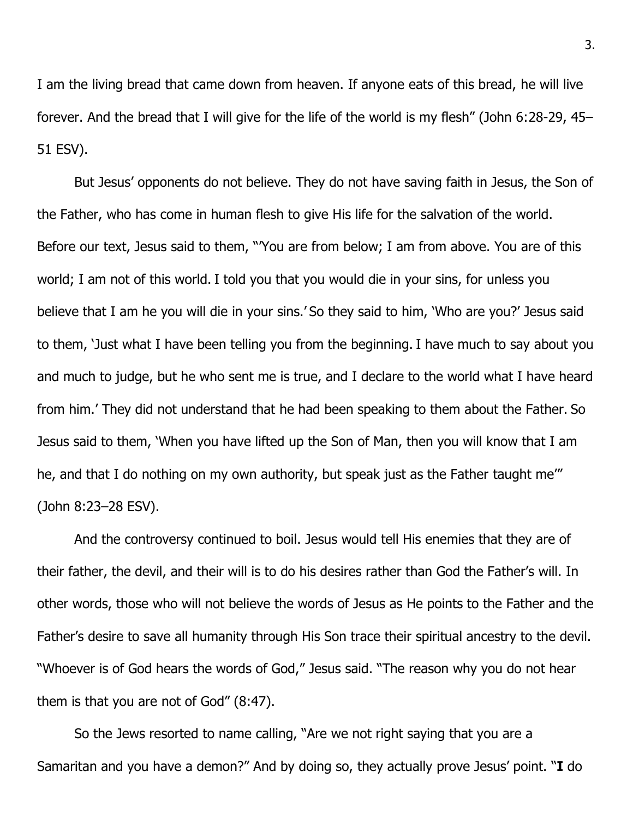I am the living bread that came down from heaven. If anyone eats of this bread, he will live forever. And the bread that I will give for the life of the world is my flesh" (John 6:28-29, 45– 51 ESV).

But Jesus' opponents do not believe. They do not have saving faith in Jesus, the Son of the Father, who has come in human flesh to give His life for the salvation of the world. Before our text, Jesus said to them, "'You are from below; I am from above. You are of this world; I am not of this world. I told you that you would die in your sins, for unless you believe that I am he you will die in your sins.' So they said to him, 'Who are you?' Jesus said to them, 'Just what I have been telling you from the beginning. I have much to say about you and much to judge, but he who sent me is true, and I declare to the world what I have heard from him.' They did not understand that he had been speaking to them about the Father. So Jesus said to them, 'When you have lifted up the Son of Man, then you will know that I am he, and that I do nothing on my own authority, but speak just as the Father taught me" (John 8:23–28 ESV).

And the controversy continued to boil. Jesus would tell His enemies that they are of their father, the devil, and their will is to do his desires rather than God the Father's will. In other words, those who will not believe the words of Jesus as He points to the Father and the Father's desire to save all humanity through His Son trace their spiritual ancestry to the devil. "Whoever is of God hears the words of God," Jesus said. "The reason why you do not hear them is that you are not of God" (8:47).

So the Jews resorted to name calling, "Are we not right saying that you are a Samaritan and you have a demon?" And by doing so, they actually prove Jesus' point. "**I** do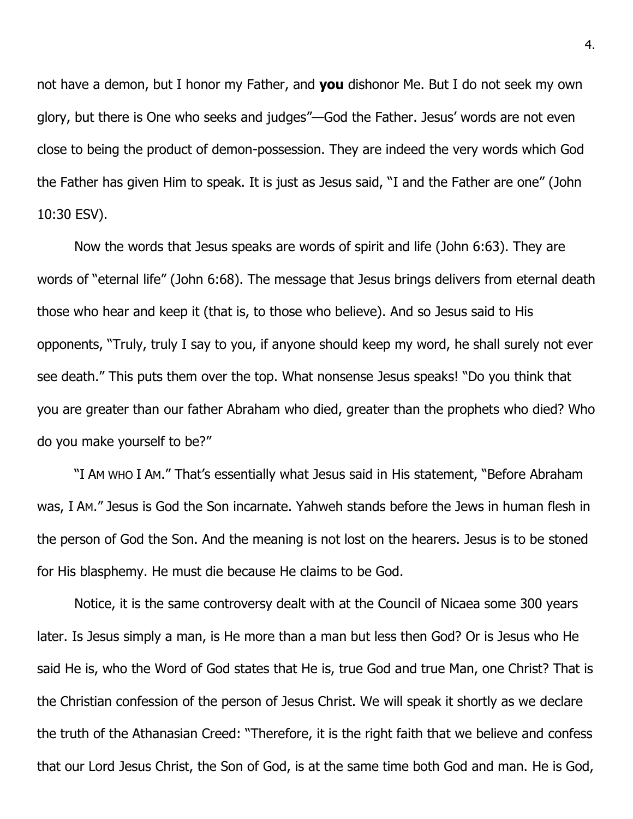not have a demon, but I honor my Father, and **you** dishonor Me. But I do not seek my own glory, but there is One who seeks and judges"—God the Father. Jesus' words are not even close to being the product of demon-possession. They are indeed the very words which God the Father has given Him to speak. It is just as Jesus said, "I and the Father are one" (John 10:30 ESV).

Now the words that Jesus speaks are words of spirit and life (John 6:63). They are words of "eternal life" (John 6:68). The message that Jesus brings delivers from eternal death those who hear and keep it (that is, to those who believe). And so Jesus said to His opponents, "Truly, truly I say to you, if anyone should keep my word, he shall surely not ever see death." This puts them over the top. What nonsense Jesus speaks! "Do you think that you are greater than our father Abraham who died, greater than the prophets who died? Who do you make yourself to be?"

"I AM WHO I AM." That's essentially what Jesus said in His statement, "Before Abraham was, I AM." Jesus is God the Son incarnate. Yahweh stands before the Jews in human flesh in the person of God the Son. And the meaning is not lost on the hearers. Jesus is to be stoned for His blasphemy. He must die because He claims to be God.

Notice, it is the same controversy dealt with at the Council of Nicaea some 300 years later. Is Jesus simply a man, is He more than a man but less then God? Or is Jesus who He said He is, who the Word of God states that He is, true God and true Man, one Christ? That is the Christian confession of the person of Jesus Christ. We will speak it shortly as we declare the truth of the Athanasian Creed: "Therefore, it is the right faith that we believe and confess that our Lord Jesus Christ, the Son of God, is at the same time both God and man. He is God,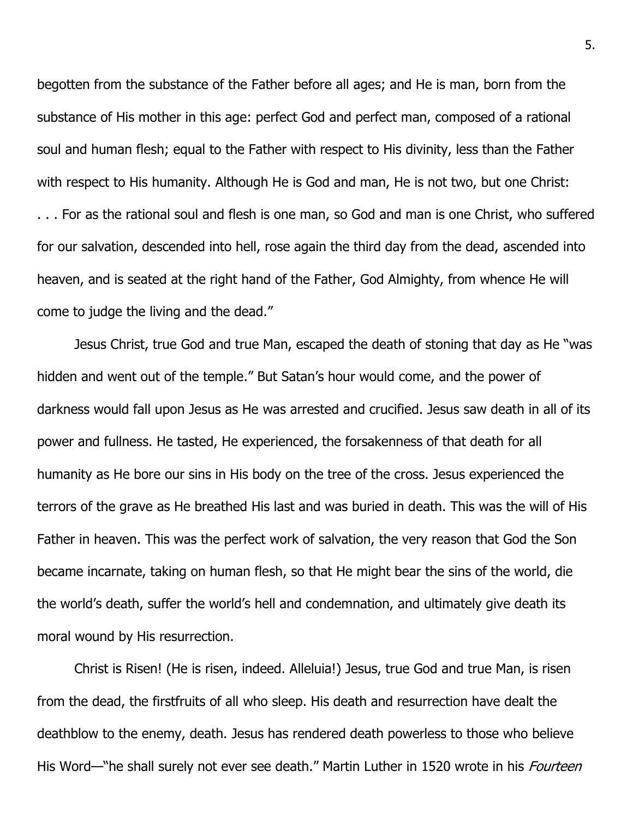begotten from the substance of the Father before all ages; and He is man, born from the substance of His mother in this age: perfect God and perfect man, composed of a rational soul and human flesh; equal to the Father with respect to His divinity, less than the Father with respect to His humanity. Although He is God and man, He is not two, but one Christ: . . . For as the rational soul and flesh is one man, so God and man is one Christ, who suffered for our salvation, descended into hell, rose again the third day from the dead, ascended into heaven, and is seated at the right hand of the Father, God Almighty, from whence He will come to judge the living and the dead."

Jesus Christ, true God and true Man, escaped the death of stoning that day as He "was hidden and went out of the temple." But Satan's hour would come, and the power of darkness would fall upon Jesus as He was arrested and crucified. Jesus saw death in all of its power and fullness. He tasted, He experienced, the forsakenness of that death for all humanity as He bore our sins in His body on the tree of the cross. Jesus experienced the terrors of the grave as He breathed His last and was buried in death. This was the will of His Father in heaven. This was the perfect work of salvation, the very reason that God the Son became incarnate, taking on human flesh, so that He might bear the sins of the world, die the world's death, suffer the world's hell and condemnation, and ultimately give death its moral wound by His resurrection.

Christ is Risen! (He is risen, indeed. Alleluia!) Jesus, true God and true Man, is risen from the dead, the firstfruits of all who sleep. His death and resurrection have dealt the deathblow to the enemy, death. Jesus has rendered death powerless to those who believe His Word—"he shall surely not ever see death." Martin Luther in 1520 wrote in his *Fourteen*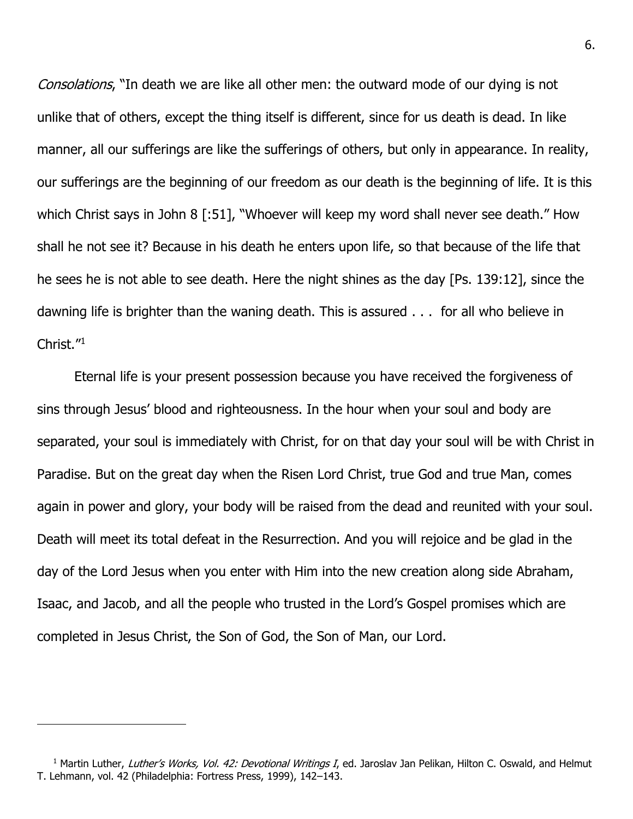Consolations, "In death we are like all other men: the outward mode of our dying is not unlike that of others, except the thing itself is different, since for us death is dead. In like manner, all our sufferings are like the sufferings of others, but only in appearance. In reality, our sufferings are the beginning of our freedom as our death is the beginning of life. It is this which Christ says in John 8 [:51], "Whoever will keep my word shall never see death." How shall he not see it? Because in his death he enters upon life, so that because of the life that he sees he is not able to see death. Here the night shines as the day [Ps. 139:12], since the dawning life is brighter than the waning death. This is assured . . . for all who believe in Christ."<sup>1</sup>

Eternal life is your present possession because you have received the forgiveness of sins through Jesus' blood and righteousness. In the hour when your soul and body are separated, your soul is immediately with Christ, for on that day your soul will be with Christ in Paradise. But on the great day when the Risen Lord Christ, true God and true Man, comes again in power and glory, your body will be raised from the dead and reunited with your soul. Death will meet its total defeat in the Resurrection. And you will rejoice and be glad in the day of the Lord Jesus when you enter with Him into the new creation along side Abraham, Isaac, and Jacob, and all the people who trusted in the Lord's Gospel promises which are completed in Jesus Christ, the Son of God, the Son of Man, our Lord.

<sup>&</sup>lt;sup>1</sup> Martin Luther, Luther's Works, Vol. 42: Devotional Writings I, ed. Jaroslav Jan Pelikan, Hilton C. Oswald, and Helmut T. Lehmann, vol. 42 (Philadelphia: Fortress Press, 1999), 142–143.